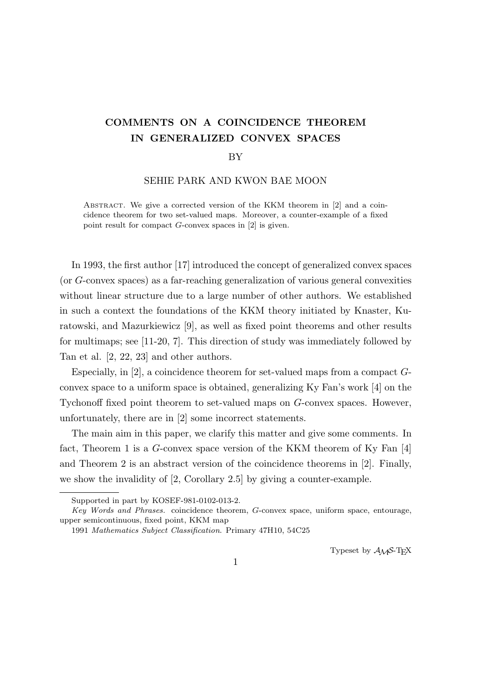# **COMMENTS ON A COINCIDENCE THEOREM IN GENERALIZED CONVEX SPACES**

#### BY

### SEHIE PARK AND KWON BAE MOON

ABSTRACT. We give a corrected version of the KKM theorem in [2] and a coincidence theorem for two set-valued maps. Moreover, a counter-example of a fixed point result for compact *G*-convex spaces in [2] is given.

In 1993, the first author [17] introduced the concept of generalized convex spaces (or *G*-convex spaces) as a far-reaching generalization of various general convexities without linear structure due to a large number of other authors. We established in such a context the foundations of the KKM theory initiated by Knaster, Kuratowski, and Mazurkiewicz [9], as well as fixed point theorems and other results for multimaps; see [11-20, 7]. This direction of study was immediately followed by Tan et al. [2, 22, 23] and other authors.

Especially, in [2], a coincidence theorem for set-valued maps from a compact *G*convex space to a uniform space is obtained, generalizing Ky Fan's work [4] on the Tychonoff fixed point theorem to set-valued maps on *G*-convex spaces. However, unfortunately, there are in [2] some incorrect statements.

The main aim in this paper, we clarify this matter and give some comments. In fact, Theorem 1 is a *G*-convex space version of the KKM theorem of Ky Fan [4] and Theorem 2 is an abstract version of the coincidence theorems in [2]. Finally, we show the invalidity of [2, Corollary 2.5] by giving a counter-example.

Typeset by  $\mathcal{A}_{\mathcal{M}}\mathcal{S}\text{-}\mathrm{Tr}X$ 

Supported in part by KOSEF-981-0102-013-2.

*Key Words and Phrases.* coincidence theorem, *G*-convex space, uniform space, entourage, upper semicontinuous, fixed point, KKM map

<sup>1991</sup> *Mathematics Subject Classification*. Primary 47H10, 54C25

<sup>1</sup>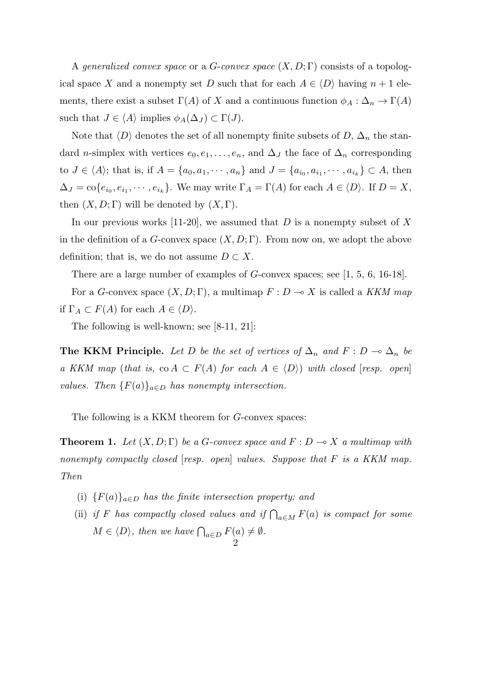A *generalized convex space* or a *G*-*convex space* (*X, D*; Γ) consists of a topological space *X* and a nonempty set *D* such that for each  $A \in \langle D \rangle$  having  $n + 1$  elements, there exist a subset  $\Gamma(A)$  of *X* and a continuous function  $\phi_A : \Delta_n \to \Gamma(A)$ such that  $J \in \langle A \rangle$  implies  $\phi_A(\Delta_J) \subset \Gamma(J)$ .

Note that  $\langle D \rangle$  denotes the set of all nonempty finite subsets of  $D$ ,  $\Delta_n$  the standard *n*-simplex with vertices  $e_0, e_1, \ldots, e_n$ , and  $\Delta_J$  the face of  $\Delta_n$  corresponding to  $J \in \langle A \rangle$ ; that is, if  $A = \{a_0, a_1, \dots, a_n\}$  and  $J = \{a_{i_0}, a_{i_1}, \dots, a_{i_k}\} \subset A$ , then  $\Delta_J = \text{co}\{e_{i_0}, e_{i_1}, \cdots, e_{i_k}\}.$  We may write  $\Gamma_A = \Gamma(A)$  for each  $A \in \langle D \rangle$ . If  $D = X$ , then  $(X, D; \Gamma)$  will be denoted by  $(X, \Gamma)$ .

In our previous works [11-20], we assumed that *D* is a nonempty subset of *X* in the definition of a *G*-convex space  $(X, D; \Gamma)$ . From now on, we adopt the above definition; that is, we do not assume  $D \subset X$ .

There are a large number of examples of *G*-convex spaces; see [1, 5, 6, 16-18].

For a *G*-convex space  $(X, D; \Gamma)$ , a multimap  $F: D \to X$  is called a *KKM map* if  $\Gamma_A \subset F(A)$  for each  $A \in \langle D \rangle$ .

The following is well-known; see [8-11, 21]:

**The KKM Principle.** Let D be the set of vertices of  $\Delta_n$  and  $F: D \to \Delta_n$  be *a KKM* map (*that is,* co  $A \subset F(A)$  *for each*  $A \in \langle D \rangle$ ) *with closed* [*resp. open*] *values.* Then  ${F(a)}_{a \in D}$  *has nonempty intersection.* 

The following is a KKM theorem for *G*-convex spaces:

**Theorem 1.** Let  $(X, D; \Gamma)$  be a *G*-convex space and  $F: D \to X$  *a multimap with nonempty compactly closed* [*resp. open*] *values. Suppose that F is a KKM map. Then*

- (i)  ${F(a)}_{a \in D}$  *has the finite intersection property; and*
- (ii) *if F has compactly closed values and if*  $\bigcap_{a \in M} F(a)$  *is compact for some*  $M \in \langle D \rangle$ , then we have  $\bigcap_{a \in D} F(a) \neq \emptyset$ . 2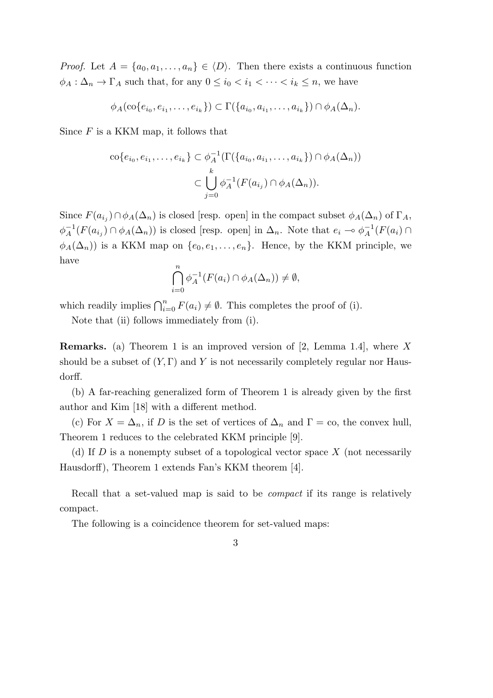*Proof.* Let  $A = \{a_0, a_1, \ldots, a_n\} \in \langle D \rangle$ . Then there exists a continuous function  $\phi_A : \Delta_n \to \Gamma_A$  such that, for any  $0 \leq i_0 < i_1 < \cdots < i_k \leq n$ , we have

$$
\phi_A(\text{co}\{e_{i_0},e_{i_1},\ldots,e_{i_k}\}) \subset \Gamma(\{a_{i_0},a_{i_1},\ldots,a_{i_k}\}) \cap \phi_A(\Delta_n).
$$

Since *F* is a KKM map, it follows that

$$
\operatorname{co}\{e_{i_0}, e_{i_1}, \dots, e_{i_k}\} \subset \phi_A^{-1}(\Gamma(\{a_{i_0}, a_{i_1}, \dots, a_{i_k}\}) \cap \phi_A(\Delta_n))
$$

$$
\subset \bigcup_{j=0}^k \phi_A^{-1}(F(a_{i_j}) \cap \phi_A(\Delta_n)).
$$

Since  $F(a_{i_j}) \cap \phi_A(\Delta_n)$  is closed [resp. open] in the compact subset  $\phi_A(\Delta_n)$  of  $\Gamma_A$ ,  $\phi_A^{-1}(F(a_{i_j}) \cap \phi_A(\Delta_n))$  is closed [resp. open] in  $\Delta_n$ . Note that  $e_i \to \phi_A^{-1}(F(a_i) \cap$  $\phi_A(\Delta_n)$ ) is a KKM map on  $\{e_0, e_1, \ldots, e_n\}$ . Hence, by the KKM principle, we have

$$
\bigcap_{i=0}^{n} \phi_A^{-1}(F(a_i) \cap \phi_A(\Delta_n)) \neq \emptyset,
$$

which readily implies  $\bigcap_{i=0}^{n} F(a_i) \neq \emptyset$ . This completes the proof of (i).

Note that (ii) follows immediately from (i).

**Remarks.** (a) Theorem 1 is an improved version of [2, Lemma 1.4], where *X* should be a subset of  $(Y, \Gamma)$  and  $Y$  is not necessarily completely regular nor Hausdorff.

(b) A far-reaching generalized form of Theorem 1 is already given by the first author and Kim [18] with a different method.

(c) For  $X = \Delta_n$ , if *D* is the set of vertices of  $\Delta_n$  and  $\Gamma = \infty$ , the convex hull, Theorem 1 reduces to the celebrated KKM principle [9].

(d) If *D* is a nonempty subset of a topological vector space *X* (not necessarily Hausdorff), Theorem 1 extends Fan's KKM theorem [4].

Recall that a set-valued map is said to be *compact* if its range is relatively compact.

The following is a coincidence theorem for set-valued maps:

3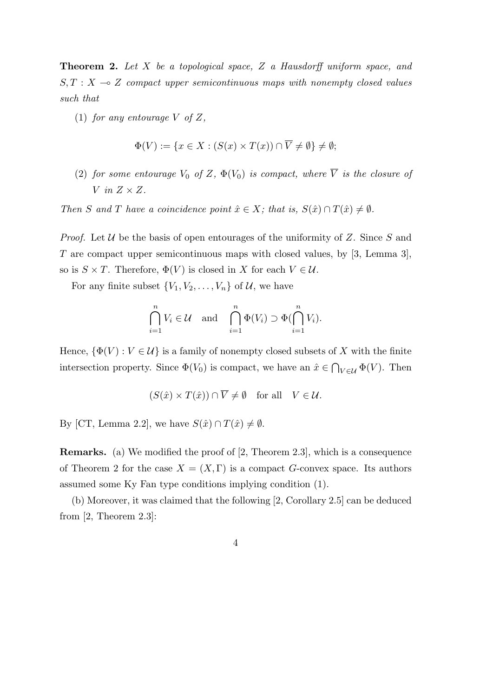**Theorem 2.** *Let X be a topological space, Z a Hausdorff uniform space, and*  $S, T : X \rightarrow Z$  *compact upper semicontinuous maps with nonempty closed values such that*

(1) *for any entourage*  $V$  *of*  $Z$ *,* 

$$
\Phi(V) := \{ x \in X : (S(x) \times T(x)) \cap \overline{V} \neq \emptyset \} \neq \emptyset;
$$

(2) *for some entourage*  $V_0$  *of*  $Z$ *,*  $\Phi(V_0)$  *is compact, where*  $\overline{V}$  *is the closure of V in Z × Z.*

*Then S* and *T* have a coincidence point  $\hat{x} \in X$ ; that is,  $S(\hat{x}) \cap T(\hat{x}) \neq \emptyset$ .

*Proof.* Let *U* be the basis of open entourages of the uniformity of *Z*. Since *S* and *T* are compact upper semicontinuous maps with closed values, by [3, Lemma 3], so is  $S \times T$ . Therefore,  $\Phi(V)$  is closed in *X* for each  $V \in \mathcal{U}$ .

For any finite subset  $\{V_1, V_2, \ldots, V_n\}$  of  $\mathcal{U}$ , we have

$$
\bigcap_{i=1}^{n} V_i \in \mathcal{U} \quad \text{and} \quad \bigcap_{i=1}^{n} \Phi(V_i) \supset \Phi(\bigcap_{i=1}^{n} V_i).
$$

Hence,  $\{\Phi(V): V \in \mathcal{U}\}\$ is a family of nonempty closed subsets of X with the finite intersection property. Since  $\Phi(V_0)$  is compact, we have an  $\hat{x} \in \bigcap_{V \in \mathcal{U}} \Phi(V)$ . Then

$$
(S(\hat{x}) \times T(\hat{x})) \cap \overline{V} \neq \emptyset \quad \text{for all} \quad V \in \mathcal{U}.
$$

By [CT, Lemma 2.2], we have  $S(\hat{x}) \cap T(\hat{x}) \neq \emptyset$ *.* 

**Remarks.** (a) We modified the proof of [2, Theorem 2.3], which is a consequence of Theorem 2 for the case  $X = (X, \Gamma)$  is a compact *G*-convex space. Its authors assumed some Ky Fan type conditions implying condition (1).

(b) Moreover, it was claimed that the following [2, Corollary 2.5] can be deduced from [2, Theorem 2.3]:

$$
4\phantom{.0}
$$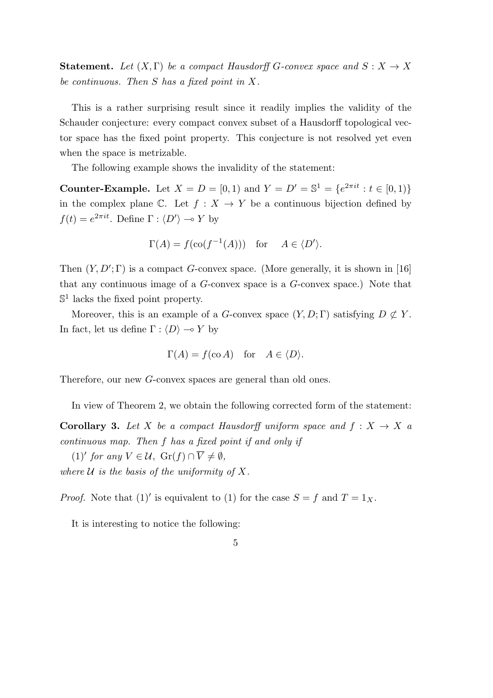**Statement.** Let  $(X, \Gamma)$  be a compact Hausdorff *G*-convex space and  $S: X \to X$ *be continuous. Then S has a fixed point in X.*

This is a rather surprising result since it readily implies the validity of the Schauder conjecture: every compact convex subset of a Hausdorff topological vector space has the fixed point property. This conjecture is not resolved yet even when the space is metrizable.

The following example shows the invalidity of the statement:

**Counter-Example.** Let  $X = D = [0, 1)$  and  $Y = D' = \mathbb{S}^1 = \{e^{2\pi i t} : t \in [0, 1)\}$ in the complex plane C. Let  $f: X \to Y$  be a continuous bijection defined by  $f(t) = e^{2\pi i t}$ . Define  $\Gamma : \langle D' \rangle \to Y$  by

$$
\Gamma(A) = f(\text{co}(f^{-1}(A)))
$$
 for  $A \in \langle D' \rangle$ .

Then  $(Y, D'; \Gamma)$  is a compact *G*-convex space. (More generally, it is shown in [16] that any continuous image of a *G*-convex space is a *G*-convex space.) Note that  $\mathbb{S}^1$  lacks the fixed point property.

Moreover, this is an example of a *G*-convex space  $(Y, D; \Gamma)$  satisfying  $D \not\subset Y$ . In fact, let us define  $\Gamma : \langle D \rangle \longrightarrow Y$  by

$$
\Gamma(A) = f(\text{co } A)
$$
 for  $A \in \langle D \rangle$ .

Therefore, our new *G*-convex spaces are general than old ones.

In view of Theorem 2, we obtain the following corrected form of the statement:

**Corollary 3.** Let *X* be a compact Hausdorff uniform space and  $f: X \rightarrow X$  a *continuous map. Then f has a fixed point if and only if*

 $(1)'$  *for any*  $V \in \mathcal{U}$ ,  $\text{Gr}(f) \cap V \neq \emptyset$ , where  $U$  *is the basis of the uniformity of*  $X$ *.* 

*Proof.* Note that  $(1)'$  is equivalent to  $(1)$  for the case  $S = f$  and  $T = 1_X$ .

It is interesting to notice the following:

## 5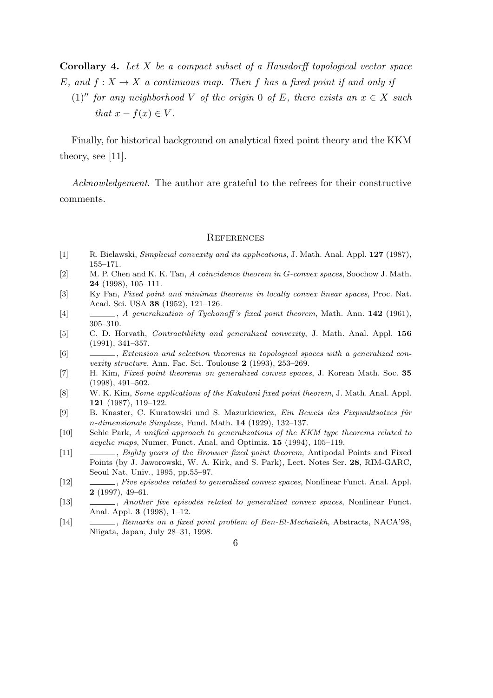**Corollary 4.** *Let X be a compact subset of a Hausdorff topological vector space E*, and  $f: X \to X$  *a* continuous map. Then f has a fixed point if and only if

(1)<sup>*′′*</sup> *for any neighborhood V of the origin* 0 *of E, there exists an*  $x \in X$  *such that*  $x - f(x) \in V$ .

Finally, for historical background on analytical fixed point theory and the KKM theory, see [11].

*Acknowledgement*. The author are grateful to the refrees for their constructive comments.

#### **REFERENCES**

- [1] R. Bielawski, *Simplicial convexity and its applications*, J. Math. Anal. Appl. **127** (1987), 155–171.
- [2] M. P. Chen and K. K. Tan, *A coincidence theorem in G-convex spaces*, Soochow J. Math. **24** (1998), 105–111.
- [3] Ky Fan, *Fixed point and minimax theorems in locally convex linear spaces*, Proc. Nat. Acad. Sci. USA **38** (1952), 121–126.
- [4] , *A generalization of Tychonoff 's fixed point theorem*, Math. Ann. **142** (1961), 305–310.
- [5] C. D. Horvath, *Contractibility and generalized convexity*, J. Math. Anal. Appl. **156** (1991), 341–357.
- [6] , *Extension and selection theorems in topological spaces with a generalized convexity structure*, Ann. Fac. Sci. Toulouse **2** (1993), 253–269.
- [7] H. Kim, *Fixed point theorems on generalized convex spaces*, J. Korean Math. Soc. **35** (1998), 491–502.
- [8] W. K. Kim, *Some applications of the Kakutani fixed point theorem*, J. Math. Anal. Appl. **121** (1987), 119–122.
- [9] B. Knaster, C. Kuratowski und S. Mazurkiewicz, *Ein Beweis des Fixpunktsatzes f¨ur n-dimensionale Simplexe*, Fund. Math. **14** (1929), 132–137.
- [10] Sehie Park, *A unified approach to generalizations of the KKM type theorems related to acyclic maps*, Numer. Funct. Anal. and Optimiz. **15** (1994), 105–119.
- [11] , *Eighty years of the Brouwer fixed point theorem*, Antipodal Points and Fixed Points (by J. Jaworowski, W. A. Kirk, and S. Park), Lect. Notes Ser. **28**, RIM-GARC, Seoul Nat. Univ., 1995, pp.55–97.
- [12] , *Five episodes related to generalized convex spaces*, Nonlinear Funct. Anal. Appl. **2** (1997), 49–61.
- [13] , *Another five episodes related to generalized convex spaces*, Nonlinear Funct. Anal. Appl. **3** (1998), 1–12.
- [14] , *Remarks on a fixed point problem of Ben-El-Mechaiekh*, Abstracts, NACA'98, Niigata, Japan, July 28–31, 1998.
	- 6